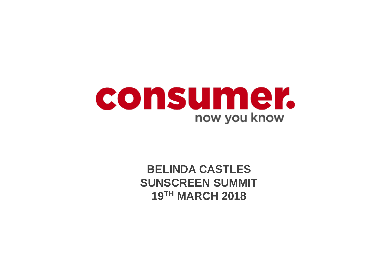

**BELINDA CASTLES SUNSCREEN SUMMIT 19TH MARCH 2018**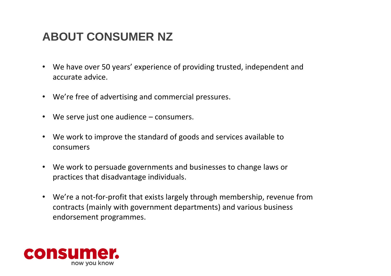### **ABOUT CONSUMER NZ**

- We have over 50 years' experience of providing trusted, independent and accurate advice.
- We're free of advertising and commercial pressures.
- We serve just one audience consumers.
- We work to improve the standard of goods and services available to consumers
- We work to persuade governments and businesses to change laws or practices that disadvantage individuals.
- We're a not-for-profit that exists largely through membership, revenue from contracts (mainly with government departments) and various business endorsement programmes.

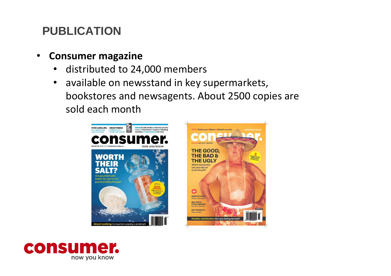# **PUBLICATION**

- **Consumer magazine** 
	- distributed to 24,000 members
	- available on newsstand in key supermarkets, bookstores and newsagents. About 2500 copies are sold each month





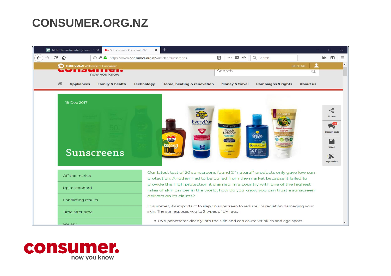### **CONSUMER.ORG.NZ**



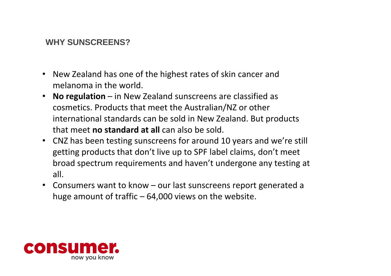### **WHY SUNSCREENS?**

- New Zealand has one of the highest rates of skin cancer and melanoma in the world.
- **No regulation**  in New Zealand sunscreens are classified as cosmetics. Products that meet the Australian/NZ or other international standards can be sold in New Zealand. But products that meet **no standard at all** can also be sold.
- CNZ has been testing sunscreens for around 10 years and we're still getting products that don't live up to SPF label claims, don't meet broad spectrum requirements and haven't undergone any testing at all.
- Consumers want to know our last sunscreens report generated a huge amount of traffic  $-64,000$  views on the website.

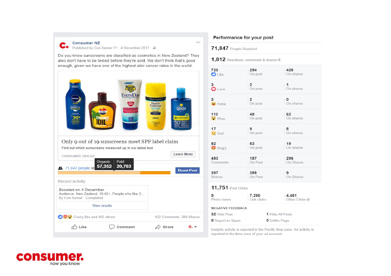

**Consumer NZ** 

Published by Con Sumer (?) - 4 December 2017 - @

Do you know sunscreens are classified as cosmetics in New Zealand? They also don't have to be tested before they're sold. We don't think that's good enough, given we have one of the highest skin cancer rates in the world.



### Performance for your post

### 71,847 People Reached

 $\cdots$ 

1,812 Reactions, comments & shares /

| 720                       | 294                  | 426                     |
|---------------------------|----------------------|-------------------------|
| <b>D</b> Like             | On post              | On shares               |
| 3                         | $\overline{2}$       | 1                       |
| $\bullet$ Love            | On post              | On shares               |
| $\overline{2}$            | $\overline{2}$       | $\overline{\mathbf{0}}$ |
| ₩ Haha                    | On post              | On shares               |
| 110                       | 48                   | 62                      |
| <b>C</b> Wow              | On post              | On shares               |
| 17                        | 9                    | 8                       |
| <b>Sad</b>                | On post              | On shares               |
| 82                        | 63                   | 19                      |
| $\rightarrow$ Angry       | On post              | On shares               |
| 483                       | 187                  | 296                     |
| Comments                  | On Post              | On Shares               |
| 397                       | 388                  | 9                       |
| Shares                    | On Post              | On Shares               |
| <b>11,751 Post Clicks</b> |                      |                         |
| 0                         | 7,290                | 4,461                   |
| Photo views               | Link clicks          | Other Clicks i          |
| <b>NEGATIVE FEEDBACK</b>  |                      |                         |
| 32 Hide Post              | 1 Hide All Posts     |                         |
| <b>0</b> Report as Spam   | <b>0</b> Unlike Page |                         |

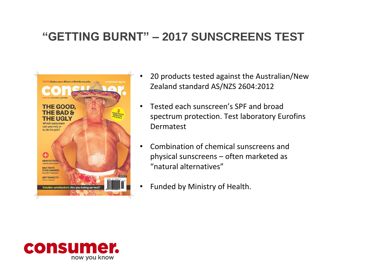## **"GETTING BURNT" – 2017 SUNSCREENS TEST**



- 20 products tested against the Australian/New Zealand standard AS/NZS 2604:2012
- Tested each sunscreen's SPF and broad spectrum protection. Test laboratory Eurofins Dermatest
- Combination of chemical sunscreens and physical sunscreens – often marketed as "natural alternatives"
- Funded by Ministry of Health.

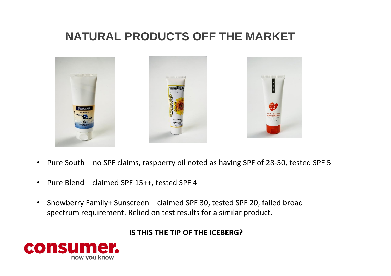### **NATURAL PRODUCTS OFF THE MARKET**



- Pure South no SPF claims, raspberry oil noted as having SPF of 28-50, tested SPF 5
- Pure Blend claimed SPF 15++, tested SPF 4
- Snowberry Family+ Sunscreen claimed SPF 30, tested SPF 20, failed broad spectrum requirement. Relied on test results for a similar product.

### **IS THIS THE TIP OF THE ICEBERG?**

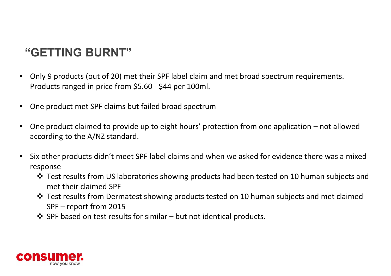# **"GETTING BURNT"**

- Only 9 products (out of 20) met their SPF label claim and met broad spectrum requirements. Products ranged in price from \$5.60 - \$44 per 100ml.
- One product met SPF claims but failed broad spectrum
- One product claimed to provide up to eight hours' protection from one application not allowed according to the A/NZ standard.
- Six other products didn't meet SPF label claims and when we asked for evidence there was a mixed response
	- $\triangle$  Test results from US laboratories showing products had been tested on 10 human subjects and met their claimed SPF
	- Test results from Dermatest showing products tested on 10 human subjects and met claimed SPF – report from 2015
	- $\clubsuit$  SPF based on test results for similar but not identical products.

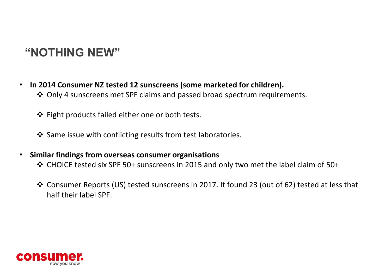### **"NOTHING NEW"**

- **In 2014 Consumer NZ tested 12 sunscreens (some marketed for children).** 
	- Only 4 sunscreens met SPF claims and passed broad spectrum requirements.
	- Eight products failed either one or both tests.
	- ❖ Same issue with conflicting results from test laboratories.
- **Similar findings from overseas consumer organisations**
	- CHOICE tested six SPF 50+ sunscreens in 2015 and only two met the label claim of 50+
	- Consumer Reports (US) tested sunscreens in 2017. It found 23 (out of 62) tested at less that half their label SPF.

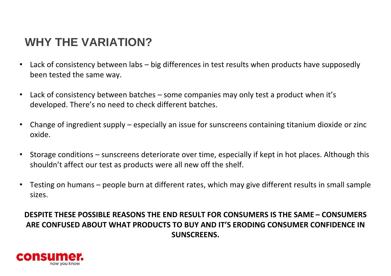### **WHY THE VARIATION?**

- Lack of consistency between labs big differences in test results when products have supposedly been tested the same way.
- Lack of consistency between batches some companies may only test a product when it's developed. There's no need to check different batches.
- Change of ingredient supply especially an issue for sunscreens containing titanium dioxide or zinc oxide.
- Storage conditions sunscreens deteriorate over time, especially if kept in hot places. Although this shouldn't affect our test as products were all new off the shelf.
- Testing on humans people burn at different rates, which may give different results in small sample sizes.

### **DESPITE THESE POSSIBLE REASONS THE END RESULT FOR CONSUMERS IS THE SAME – CONSUMERS ARE CONFUSED ABOUT WHAT PRODUCTS TO BUY AND IT'S ERODING CONSUMER CONFIDENCE IN SUNSCREENS.**

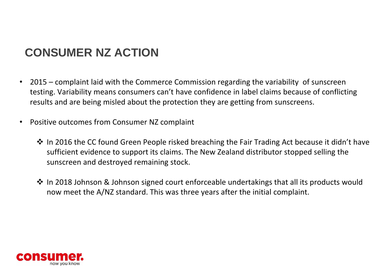# **CONSUMER NZ ACTION**

- 2015 complaint laid with the Commerce Commission regarding the variability of sunscreen testing. Variability means consumers can't have confidence in label claims because of conflicting results and are being misled about the protection they are getting from sunscreens.
- Positive outcomes from Consumer NZ complaint
	- ◆ In 2016 the CC found Green People risked breaching the Fair Trading Act because it didn't have sufficient evidence to support its claims. The New Zealand distributor stopped selling the sunscreen and destroyed remaining stock.
	- ◆ In 2018 Johnson & Johnson signed court enforceable undertakings that all its products would now meet the A/NZ standard. This was three years after the initial complaint.